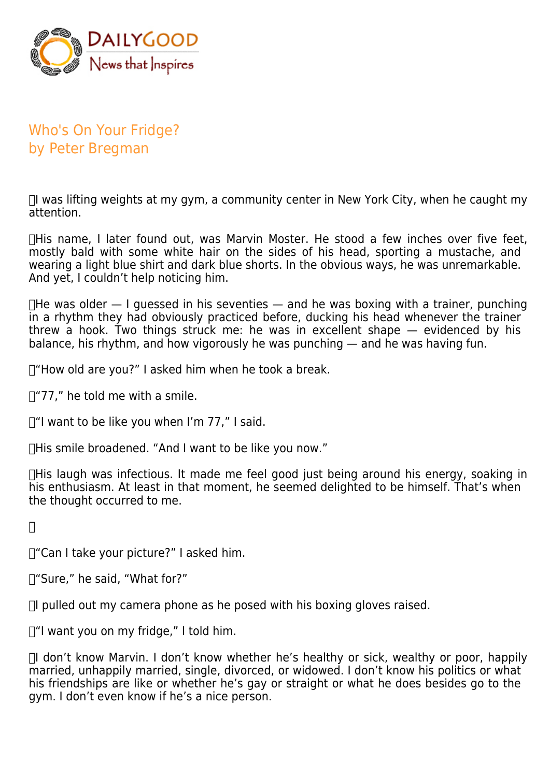

## Who's On Your Fridge? by Peter Bregman

 $\Box$  was lifting weights at my gym, a community center in New York City, when he caught my attention.

 His name, I later found out, was Marvin Moster. He stood a few inches over five feet, mostly bald with some white hair on the sides of his head, sporting a mustache, and wearing a light blue shirt and dark blue shorts. In the obvious ways, he was unremarkable. And yet, I couldn't help noticing him.

 $\Box$ He was older  $-$  I guessed in his seventies  $-$  and he was boxing with a trainer, punching in a rhythm they had obviously practiced before, ducking his head whenever the trainer threw a hook. Two things struck me: he was in excellent shape — evidenced by his balance, his rhythm, and how vigorously he was punching — and he was having fun.

 "How old are you?" I asked him when he took a break.

 $\Box$ "77," he told me with a smile.

 $\Box$ "I want to be like you when I'm 77," I said.

 $\Box$  His smile broadened. "And I want to be like you now."

 His laugh was infectious. It made me feel good just being around his energy, soaking in his enthusiasm. At least in that moment, he seemed delighted to be himself. That's when the thought occurred to me.

 $\Box$ 

∏"Can I take your picture?" I asked him.

 "Sure," he said, "What for?"

 $\Box$  pulled out my camera phone as he posed with his boxing gloves raised.

 "I want you on my fridge," I told him.

 $\Box$ I don't know Marvin. I don't know whether he's healthy or sick, wealthy or poor, happily married, unhappily married, single, divorced, or widowed. I don't know his politics or what his friendships are like or whether he's gay or straight or what he does besides go to the gym. I don't even know if he's a nice person.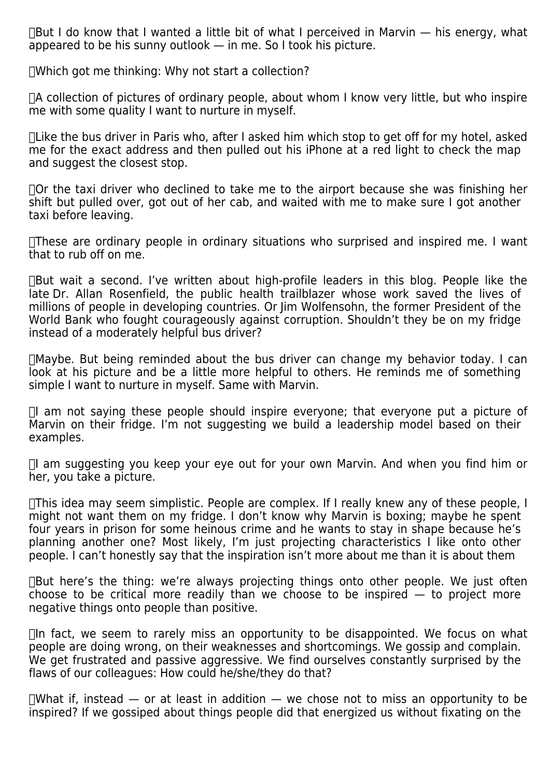$\Box$ But I do know that I wanted a little bit of what I perceived in Marvin  $-$  his energy, what appeared to be his sunny outlook — in me. So I took his picture.

 Which got me thinking: Why not start a collection?

 A collection of pictures of ordinary people, about whom I know very little, but who inspire me with some quality I want to nurture in myself.

 Like the bus driver in Paris who, after I asked him which stop to get off for my hotel, asked me for the exact address and then pulled out his iPhone at a red light to check the map and suggest the closest stop.

 Or the taxi driver who declined to take me to the airport because she was finishing her shift but pulled over, got out of her cab, and waited with me to make sure I got another taxi before leaving.

 These are ordinary people in ordinary situations who surprised and inspired me. I want that to rub off on me.

 But wait a second. I've written about high-profile leaders in this blog. People like the late Dr. Allan Rosenfield, the public health trailblazer whose work saved the lives of millions of people in developing countries. Or Jim Wolfensohn, the former President of the World Bank who fought courageously against corruption. Shouldn't they be on my fridge instead of a moderately helpful bus driver?

 Maybe. But being reminded about the bus driver can change my behavior today. I can look at his picture and be a little more helpful to others. He reminds me of something simple I want to nurture in myself. Same with Marvin.

 $\Box$  am not saying these people should inspire everyone; that everyone put a picture of Marvin on their fridge. I'm not suggesting we build a leadership model based on their examples.

 $\Box$  am suggesting you keep your eye out for your own Marvin. And when you find him or her, you take a picture.

 This idea may seem simplistic. People are complex. If I really knew any of these people, I might not want them on my fridge. I don't know why Marvin is boxing; maybe he spent four years in prison for some heinous crime and he wants to stay in shape because he's planning another one? Most likely, I'm just projecting characteristics I like onto other people. I can't honestly say that the inspiration isn't more about me than it is about them

 $\Box$ But here's the thing: we're always projecting things onto other people. We just often choose to be critical more readily than we choose to be inspired  $-$  to project more negative things onto people than positive.

 $\Box$ In fact, we seem to rarely miss an opportunity to be disappointed. We focus on what people are doing wrong, on their weaknesses and shortcomings. We gossip and complain. We get frustrated and passive aggressive. We find ourselves constantly surprised by the flaws of our colleagues: How could he/she/they do that?

 $\Box$ What if, instead — or at least in addition — we chose not to miss an opportunity to be inspired? If we gossiped about things people did that energized us without fixating on the